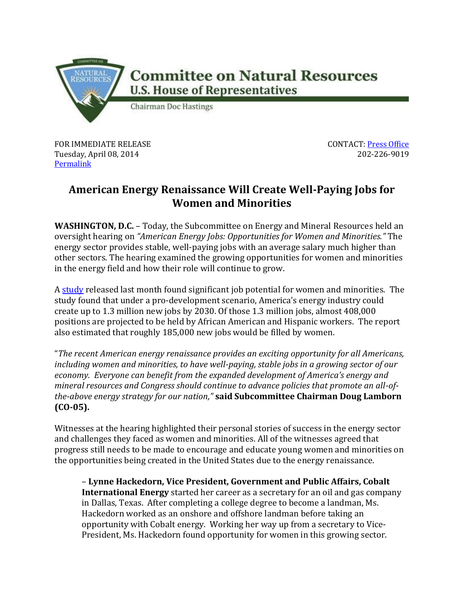

FOR IMMEDIATE RELEASE Tuesday, April 08, 2014 [Permalink](http://naturalresources.house.gov/news/documentsingle.aspx?DocumentID=375954)

CONTACT: [Press Office](http://naturalresources.house.gov/contact/media.htm) 202-226-9019

## **American Energy Renaissance Will Create Well-Paying Jobs for Women and Minorities**

**WASHINGTON, D.C.** – Today, the Subcommittee on Energy and Mineral Resources held an oversight hearing on *"American Energy Jobs: Opportunities for Women and Minorities."* The energy sector provides stable, well-paying jobs with an average salary much higher than other sectors. The hearing examined the growing opportunities for women and minorities in the energy field and how their role will continue to grow.

A [study](http://www.api.org/news-and-media/news/newsitems/2014/mar-2014/~/media/Files/Policy/Jobs/IHS-Minority-and-Female-Employment-Report.pdf) released last month found significant job potential for women and minorities. The study found that under a pro-development scenario, America's energy industry could create up to 1.3 million new jobs by 2030. Of those 1.3 million jobs, almost 408,000 positions are projected to be held by African American and Hispanic workers. The report also estimated that roughly 185,000 new jobs would be filled by women.

"*The recent American energy renaissance provides an exciting opportunity for all Americans, including women and minorities, to have well-paying, stable jobs in a growing sector of our economy. Everyone can benefit from the expanded development of America's energy and mineral resources and Congress should continue to advance policies that promote an all-ofthe-above energy strategy for our nation,"* **said Subcommittee Chairman Doug Lamborn (CO-05).** 

Witnesses at the hearing highlighted their personal stories of success in the energy sector and challenges they faced as women and minorities. All of the witnesses agreed that progress still needs to be made to encourage and educate young women and minorities on the opportunities being created in the United States due to the energy renaissance.

– **Lynne Hackedorn, Vice President, Government and Public Affairs, Cobalt International Energy** started her career as a secretary for an oil and gas company in Dallas, Texas. After completing a college degree to become a landman, Ms. Hackedorn worked as an onshore and offshore landman before taking an opportunity with Cobalt energy. Working her way up from a secretary to Vice-President, Ms. Hackedorn found opportunity for women in this growing sector.